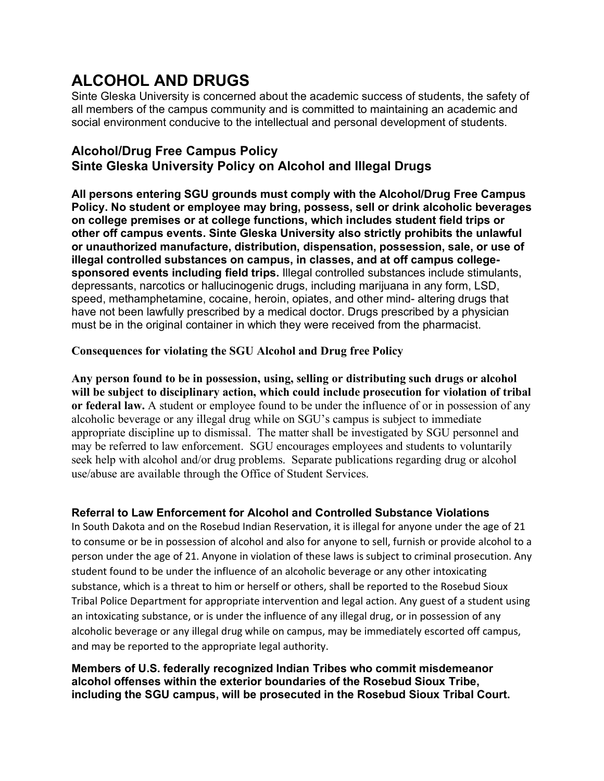# **ALCOHOL AND DRUGS**

Sinte Gleska University is concerned about the academic success of students, the safety of all members of the campus community and is committed to maintaining an academic and social environment conducive to the intellectual and personal development of students.

# **Alcohol/Drug Free Campus Policy Sinte Gleska University Policy on Alcohol and Illegal Drugs**

**All persons entering SGU grounds must comply with the Alcohol/Drug Free Campus Policy. No student or employee may bring, possess, sell or drink alcoholic beverages on college premises or at college functions, which includes student field trips or other off campus events. Sinte Gleska University also strictly prohibits the unlawful or unauthorized manufacture, distribution, dispensation, possession, sale, or use of illegal controlled substances on campus, in classes, and at off campus collegesponsored events including field trips.** Illegal controlled substances include stimulants, depressants, narcotics or hallucinogenic drugs, including marijuana in any form, LSD, speed, methamphetamine, cocaine, heroin, opiates, and other mind- altering drugs that have not been lawfully prescribed by a medical doctor. Drugs prescribed by a physician must be in the original container in which they were received from the pharmacist.

## **Consequences for violating the SGU Alcohol and Drug free Policy**

**Any person found to be in possession, using, selling or distributing such drugs or alcohol will be subject to disciplinary action, which could include prosecution for violation of tribal or federal law.** A student or employee found to be under the influence of or in possession of any alcoholic beverage or any illegal drug while on SGU's campus is subject to immediate appropriate discipline up to dismissal. The matter shall be investigated by SGU personnel and may be referred to law enforcement. SGU encourages employees and students to voluntarily seek help with alcohol and/or drug problems. Separate publications regarding drug or alcohol use/abuse are available through the Office of Student Services.

## **Referral to Law Enforcement for Alcohol and Controlled Substance Violations**

In South Dakota and on the Rosebud Indian Reservation, it is illegal for anyone under the age of 21 to consume or be in possession of alcohol and also for anyone to sell, furnish or provide alcohol to a person under the age of 21. Anyone in violation of these laws is subject to criminal prosecution. Any student found to be under the influence of an alcoholic beverage or any other intoxicating substance, which is a threat to him or herself or others, shall be reported to the Rosebud Sioux Tribal Police Department for appropriate intervention and legal action. Any guest of a student using an intoxicating substance, or is under the influence of any illegal drug, or in possession of any alcoholic beverage or any illegal drug while on campus, may be immediately escorted off campus, and may be reported to the appropriate legal authority.

#### **Members of U.S. federally recognized Indian Tribes who commit misdemeanor alcohol offenses within the exterior boundaries of the Rosebud Sioux Tribe, including the SGU campus, will be prosecuted in the Rosebud Sioux Tribal Court.**